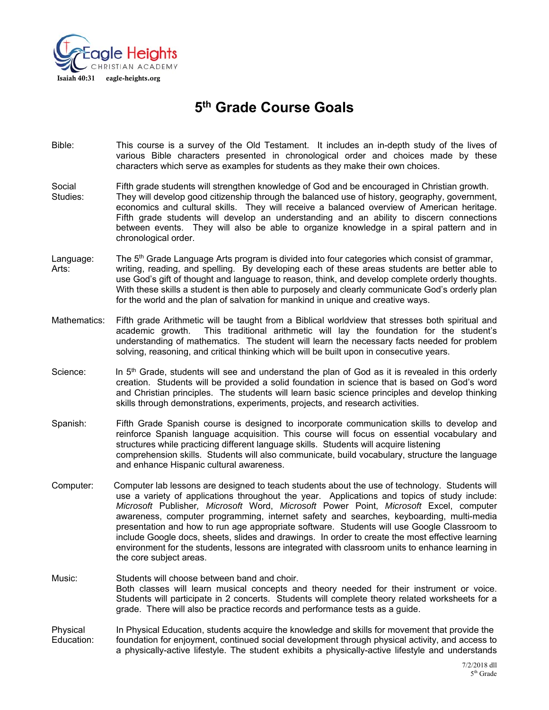

# **5th Grade Course Goals**

- Bible: This course is a survey of the Old Testament. It includes an in-depth study of the lives of various Bible characters presented in chronological order and choices made by these characters which serve as examples for students as they make their own choices.
- Social Fifth grade students will strengthen knowledge of God and be encouraged in Christian growth. Studies: They will develop good citizenship through the balanced use of history, geography, government, economics and cultural skills. They will receive a balanced overview of American heritage. Fifth grade students will develop an understanding and an ability to discern connections between events. They will also be able to organize knowledge in a spiral pattern and in chronological order.
- Language: The  $5<sup>th</sup>$  Grade Language Arts program is divided into four categories which consist of grammar, Arts: writing, reading, and spelling. By developing each of these areas students are better able to use God's gift of thought and language to reason, think, and develop complete orderly thoughts. With these skills a student is then able to purposely and clearly communicate God's orderly plan for the world and the plan of salvation for mankind in unique and creative ways.
- Mathematics: Fifth grade Arithmetic will be taught from a Biblical worldview that stresses both spiritual and academic growth. This traditional arithmetic will lay the foundation for the student's understanding of mathematics. The student will learn the necessary facts needed for problem solving, reasoning, and critical thinking which will be built upon in consecutive years.
- Science: In 5<sup>th</sup> Grade, students will see and understand the plan of God as it is revealed in this orderly creation. Students will be provided a solid foundation in science that is based on God's word and Christian principles. The students will learn basic science principles and develop thinking skills through demonstrations, experiments, projects, and research activities.
- Spanish: Fifth Grade Spanish course is designed to incorporate communication skills to develop and reinforce Spanish language acquisition. This course will focus on essential vocabulary and structures while practicing different language skills. Students will acquire listening comprehension skills. Students will also communicate, build vocabulary, structure the language and enhance Hispanic cultural awareness.
- Computer: Computer lab lessons are designed to teach students about the use of technology. Students will use a variety of applications throughout the year. Applications and topics of study include: *Microsoft* Publisher*, Microsoft* Word, *Microsoft* Power Point, *Microsoft* Excel, computer awareness, computer programming, internet safety and searches, keyboarding, multi-media presentation and how to run age appropriate software. Students will use Google Classroom to include Google docs, sheets, slides and drawings. In order to create the most effective learning environment for the students, lessons are integrated with classroom units to enhance learning in the core subject areas.
- Music: Students will choose between band and choir. Both classes will learn musical concepts and theory needed for their instrument or voice. Students will participate in 2 concerts. Students will complete theory related worksheets for a grade. There will also be practice records and performance tests as a guide.

Physical In Physical Education, students acquire the knowledge and skills for movement that provide the Education: foundation for enjoyment, continued social development through physical activity, and access to a physically-active lifestyle. The student exhibits a physically-active lifestyle and understands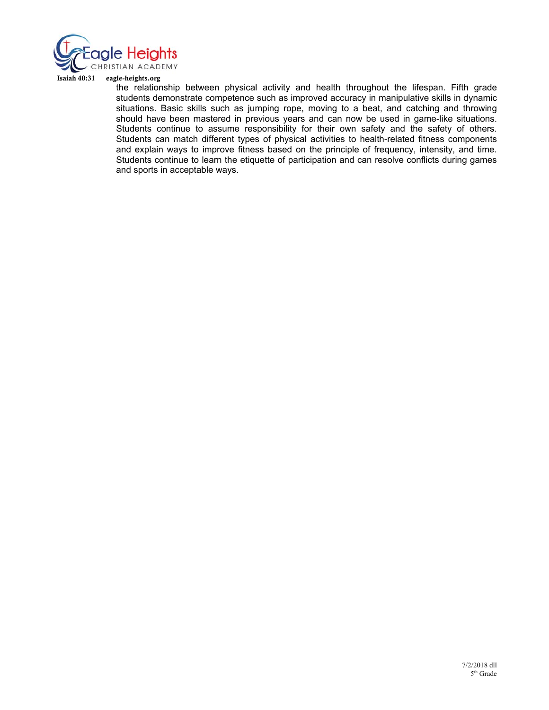

#### Isaiah 40:31 eagle-heights.org

the relationship between physical activity and health throughout the lifespan. Fifth grade students demonstrate competence such as improved accuracy in manipulative skills in dynamic situations. Basic skills such as jumping rope, moving to a beat, and catching and throwing should have been mastered in previous years and can now be used in game-like situations. Students continue to assume responsibility for their own safety and the safety of others. Students can match different types of physical activities to health-related fitness components and explain ways to improve fitness based on the principle of frequency, intensity, and time. Students continue to learn the etiquette of participation and can resolve conflicts during games and sports in acceptable ways.